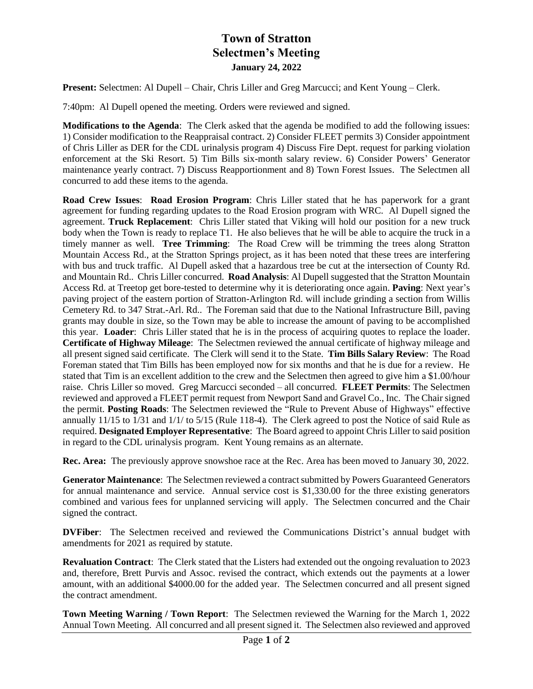## **Town of Stratton Selectmen's Meeting January 24, 2022**

**Present:** Selectmen: Al Dupell – Chair, Chris Liller and Greg Marcucci; and Kent Young – Clerk.

7:40pm: Al Dupell opened the meeting. Orders were reviewed and signed.

**Modifications to the Agenda**: The Clerk asked that the agenda be modified to add the following issues: 1) Consider modification to the Reappraisal contract. 2) Consider FLEET permits 3) Consider appointment of Chris Liller as DER for the CDL urinalysis program 4) Discuss Fire Dept. request for parking violation enforcement at the Ski Resort. 5) Tim Bills six-month salary review. 6) Consider Powers' Generator maintenance yearly contract. 7) Discuss Reapportionment and 8) Town Forest Issues. The Selectmen all concurred to add these items to the agenda.

**Road Crew Issues**: **Road Erosion Program**: Chris Liller stated that he has paperwork for a grant agreement for funding regarding updates to the Road Erosion program with WRC. Al Dupell signed the agreement. **Truck Replacement**: Chris Liller stated that Viking will hold our position for a new truck body when the Town is ready to replace T1. He also believes that he will be able to acquire the truck in a timely manner as well. **Tree Trimming**: The Road Crew will be trimming the trees along Stratton Mountain Access Rd., at the Stratton Springs project, as it has been noted that these trees are interfering with bus and truck traffic. Al Dupell asked that a hazardous tree be cut at the intersection of County Rd. and Mountain Rd.. Chris Liller concurred. **Road Analysis**: Al Dupell suggested that the Stratton Mountain Access Rd. at Treetop get bore-tested to determine why it is deteriorating once again. **Paving**: Next year's paving project of the eastern portion of Stratton-Arlington Rd. will include grinding a section from Willis Cemetery Rd. to 347 Strat.-Arl. Rd.. The Foreman said that due to the National Infrastructure Bill, paving grants may double in size, so the Town may be able to increase the amount of paving to be accomplished this year. **Loader**: Chris Liller stated that he is in the process of acquiring quotes to replace the loader. **Certificate of Highway Mileage**: The Selectmen reviewed the annual certificate of highway mileage and all present signed said certificate. The Clerk will send it to the State. **Tim Bills Salary Review**: The Road Foreman stated that Tim Bills has been employed now for six months and that he is due for a review. He stated that Tim is an excellent addition to the crew and the Selectmen then agreed to give him a \$1.00/hour raise. Chris Liller so moved. Greg Marcucci seconded – all concurred. **FLEET Permits**: The Selectmen reviewed and approved a FLEET permit request from Newport Sand and Gravel Co., Inc. The Chair signed the permit. **Posting Roads**: The Selectmen reviewed the "Rule to Prevent Abuse of Highways" effective annually 11/15 to 1/31 and 1/1/ to 5/15 (Rule 118-4). The Clerk agreed to post the Notice of said Rule as required. **Designated Employer Representative**: The Board agreed to appoint Chris Liller to said position in regard to the CDL urinalysis program. Kent Young remains as an alternate.

**Rec. Area:** The previously approve snowshoe race at the Rec. Area has been moved to January 30, 2022.

**Generator Maintenance**: The Selectmen reviewed a contract submitted by Powers Guaranteed Generators for annual maintenance and service. Annual service cost is \$1,330.00 for the three existing generators combined and various fees for unplanned servicing will apply. The Selectmen concurred and the Chair signed the contract.

**DVFiber**: The Selectmen received and reviewed the Communications District's annual budget with amendments for 2021 as required by statute.

**Revaluation Contract**: The Clerk stated that the Listers had extended out the ongoing revaluation to 2023 and, therefore, Brett Purvis and Assoc. revised the contract, which extends out the payments at a lower amount, with an additional \$4000.00 for the added year. The Selectmen concurred and all present signed the contract amendment.

**Town Meeting Warning / Town Report**: The Selectmen reviewed the Warning for the March 1, 2022 Annual Town Meeting. All concurred and all present signed it. The Selectmen also reviewed and approved